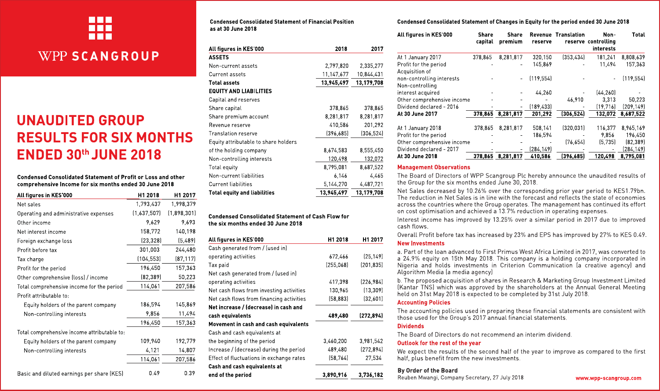

# **WPP SCANGROUP**

# **UNAUDITED GROUP RESULTS FOR SIX MONTHS ENDED 30th JUNE 2018**

Condensed Consolidated Statement of Profit or Loss and other comprehensive Income for six months ended 30 June 2018

| All figures in KES 000                      | H1 2018     | H1 2017     |
|---------------------------------------------|-------------|-------------|
| Net sales                                   | 1,793,437   | 1,998,379   |
| Operating and administrative expenses       | (1,637,507) | (1,898,301) |
| Other income                                | 9,629       | 9,693       |
| Net interest income                         | 158,772     | 140,198     |
| Foreign exchange loss                       | (23, 328)   | (5,489)     |
| Profit before tax                           | 301,003     | 244.480     |
| Tax charge                                  | (104, 553)  | (87, 117)   |
| Profit for the period                       | 196,450     | 157,363     |
| Other comprehensive (loss) / income         | [82, 389]   | 50,223      |
| Total comprehensive income for the period   | 114,061     | 207,586     |
| Profit attributable to:                     |             |             |
| Equity holders of the parent company        | 186,594     | 145,869     |
| Non-controlling interests                   | 9,856       | 11,494      |
|                                             | 196,450     | 157,363     |
| Total comprehensive income attributable to: |             |             |
| Equity holders of the parent company        | 109,940     | 192,779     |
| Non-controlling interests                   | 4,121       | 14,807      |
|                                             | 114,061     | 207,586     |
| Basic and diluted earnings per share (KES)  | 049         | 039         |

**Condensed Consolidated Statement of Financial Position** as at 30 June 2018

| All figures in KES 000               | 2018       | 2017       |
|--------------------------------------|------------|------------|
| <b>ASSETS</b>                        |            |            |
| Non-current assets                   | 2,797,820  | 2,335,277  |
| Current assets                       | 11,147,677 | 10,844,431 |
| <b>Total assets</b>                  | 13,945,497 | 13,179,708 |
| EQUITY AND LIABILITIES               |            |            |
| Capital and reserves                 |            |            |
| Share capital                        | 378,865    | 378,865    |
| Share premium account                | 8,281,817  | 8,281,817  |
| Revenue reserve                      | 410.586    | 201.292    |
| <b>Translation reserve</b>           | [396.685]  | [306.524]  |
| Equity attributable to share holders |            |            |
| of the holding company               | 8,674,583  | 8,555,450  |
| Non-controlling interests            | 120.498    | 132,072    |
| Total equity                         | 8.795,081  | 8,687,522  |
| Non-current liabilities              | 6,146      | 4,465      |
| <b>Current liabilities</b>           | 5,144,270  | 4,487,721  |
| Total equity and liabilities         | 13,945,497 | 13,179,708 |

#### **Condensed Consolidated Statement of Cash Flow for** the six months ended 30 June 2018

| All figures in KES 000                   | H1 2018   | H1 2017    |
|------------------------------------------|-----------|------------|
| Cash generated from / (used in)          |           |            |
| operating activities                     | 672,466   | [25.149]   |
| Tax paid                                 | (255.068) | [201.835]  |
| Net cash generated from / (used in)      |           |            |
| operating activities                     | 417,398   | [226, 984] |
| Net cash flows from investing activities | 130,965   | [13.309]   |
| Net cash flows from financing activities | [58, 883] | [32,601]   |
| Net increase / (decrease) in cash and    |           |            |
| cash equivalents                         | 489,480   | (272, 894) |
| Movement in cash and cash equivalents    |           |            |
| Cash and cash equivalents at             |           |            |
| the beginning of the period              | 3,460,200 | 3,981,542  |
| Increase / (decrease) during the period  | 489,480   | [272.894]  |
| Effect of fluctuations in exchange rates | (58, 764) | 27,534     |
| Cash and cash equivalents at             |           |            |
| end of the period                        | 3,890,916 | 3.736.182  |

#### Condensed Consolidated Statement of Changes in Equity for the period ended 30 June 2018

| All figures in KES 000                       | Share<br>capital | Share<br>premium  | reserve    | <b>Revenue Translation</b> | Non-<br>reserve controlling<br>interests | Total      |
|----------------------------------------------|------------------|-------------------|------------|----------------------------|------------------------------------------|------------|
| At 1 January 2017                            | 378.865          | 8,281,817         | 320,150    | (353.434)                  | 181.241                                  | 8,808,639  |
| Profit for the period<br>Acquisition of      |                  | -                 | 145,869    |                            | 11.494                                   | 157,363    |
| non-controlling interests<br>Non-controlling |                  | $\blacksquare$    | [119.554]  |                            |                                          | [119.554]  |
| interest acquired                            |                  |                   | 44.260     |                            | [44.260]                                 |            |
| Other comprehensive income                   |                  |                   |            | 46.910                     | 3.313                                    | 50,223     |
| Dividend declared - 2016                     |                  | -                 | [189, 433] |                            | [19, 716]                                | [209, 149] |
| At 30 June 2017                              | 378,865          | 8.281.817         | 201.292    | (306, 524)                 | 132,072                                  | 8.687.522  |
| At 1 January 2018                            | 378,865          | 8,281,817         | 508,141    | (320, 031)                 | 116,377                                  | 8,965,169  |
| Profit for the period                        |                  |                   | 186.594    |                            | 9.856                                    | 196.450    |
| Other comprehensive income                   |                  |                   |            | (76.654)                   | (5.735)                                  | [82.389]   |
| Dividend declared - 2017                     |                  |                   | [284, 149] |                            |                                          | (284,149)  |
| At 30 June 2018                              |                  | 378,865 8,281,817 | 410,586    | (396, 685)                 | 120,498                                  | 8,795,081  |

#### **Management Observations**

The Board of Directors of WPP Scangroup Plc hereby announce the unaudited results of the Group for the six months ended June 30, 2018.

Net Sales decreased by 10.26% over the corresponding prior year period to KES1.79bn. The reduction in Net Sales is in line with the forecast and reflects the state of economies across the countries where the Group operates. The management has continued its effort on cost optimisation and achieved a 13.7% reduction in operating expenses.

Interest income has improved by 13.25% over a similar period in 2017 due to improved cash flows

Overall Profit before tax has increased by 23% and EPS has improved by 27% to KES 0.49.

#### **New Investments**

a. Part of the loan advanced to First Primus West Africa Limited in 2017, was converted to a 24.9% equity on 15th May 2018. This company is a holding company incorporated in Nigeria and holds investments in Criterion Communication (a creative agency) and Algorithm Media la media agency

b. The proposed acquisition of shares in Research & Marketing Group Investment Limited (Kantar TNS) which was approved by the shareholders at the Annual General Meeting held on 31st May 2018 is expected to be completed by 31st July 2018.

#### **Accounting Policies**

The accounting policies used in preparing these financial statements are consistent with those used for the Group's 2017 annual financial statements.

#### **Dividends**

The Board of Directors do not recommend an interim dividend

#### Outlook for the rest of the year

We expect the results of the second half of the year to improve as compared to the first half, plus benefit from the new investments.

#### By Order of the Board

Reuben Mwangi, Company Secretary, 27 July 2018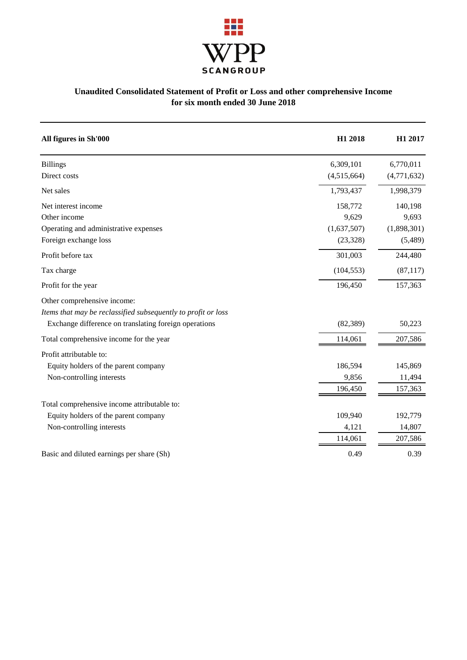

### **Unaudited Consolidated Statement of Profit or Loss and other comprehensive Income for six month ended 30 June 2018**

| All figures in Sh'000                                         | H1 2018     | H1 2017     |
|---------------------------------------------------------------|-------------|-------------|
| <b>Billings</b>                                               | 6,309,101   | 6,770,011   |
| Direct costs                                                  | (4,515,664) | (4,771,632) |
| Net sales                                                     | 1,793,437   | 1,998,379   |
| Net interest income                                           | 158,772     | 140,198     |
| Other income                                                  | 9,629       | 9,693       |
| Operating and administrative expenses                         | (1,637,507) | (1,898,301) |
| Foreign exchange loss                                         | (23, 328)   | (5,489)     |
| Profit before tax                                             | 301,003     | 244,480     |
| Tax charge                                                    | (104, 553)  | (87, 117)   |
| Profit for the year                                           | 196,450     | 157,363     |
| Other comprehensive income:                                   |             |             |
| Items that may be reclassified subsequently to profit or loss |             |             |
| Exchange difference on translating foreign operations         | (82, 389)   | 50,223      |
| Total comprehensive income for the year                       | 114,061     | 207,586     |
| Profit attributable to:                                       |             |             |
| Equity holders of the parent company                          | 186,594     | 145,869     |
| Non-controlling interests                                     | 9,856       | 11,494      |
|                                                               | 196,450     | 157,363     |
| Total comprehensive income attributable to:                   |             |             |
| Equity holders of the parent company                          | 109,940     | 192,779     |
| Non-controlling interests                                     | 4,121       | 14,807      |
|                                                               | 114,061     | 207,586     |
| Basic and diluted earnings per share (Sh)                     | 0.49        | 0.39        |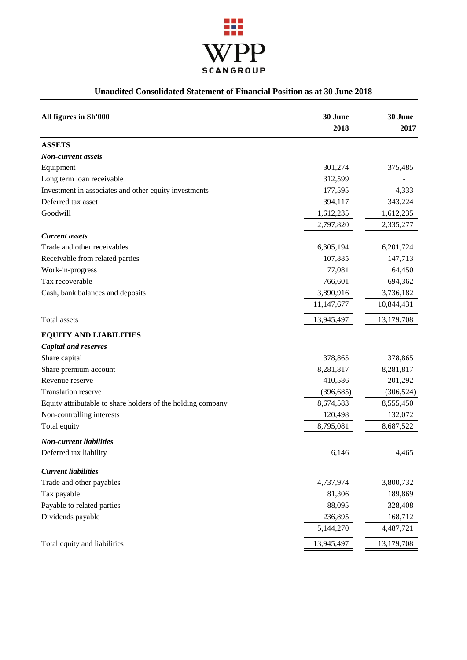

### **Unaudited Consolidated Statement of Financial Position as at 30 June 2018**

| All figures in Sh'000                                       | 30 June<br>2018 | 30 June<br>2017 |
|-------------------------------------------------------------|-----------------|-----------------|
|                                                             |                 |                 |
| <b>ASSETS</b>                                               |                 |                 |
| <b>Non-current assets</b>                                   |                 |                 |
| Equipment                                                   | 301,274         | 375,485         |
| Long term loan receivable                                   | 312,599         |                 |
| Investment in associates and other equity investments       | 177,595         | 4,333           |
| Deferred tax asset                                          | 394,117         | 343,224         |
| Goodwill                                                    | 1,612,235       | 1,612,235       |
|                                                             | 2,797,820       | 2,335,277       |
| <b>Current</b> assets                                       |                 |                 |
| Trade and other receivables                                 | 6,305,194       | 6,201,724       |
| Receivable from related parties                             | 107,885         | 147,713         |
| Work-in-progress                                            | 77,081          | 64,450          |
| Tax recoverable                                             | 766,601         | 694,362         |
| Cash, bank balances and deposits                            | 3,890,916       | 3,736,182       |
|                                                             | 11,147,677      | 10,844,431      |
| Total assets                                                | 13,945,497      | 13,179,708      |
| <b>EQUITY AND LIABILITIES</b>                               |                 |                 |
| <b>Capital and reserves</b>                                 |                 |                 |
| Share capital                                               | 378,865         | 378,865         |
| Share premium account                                       | 8,281,817       | 8,281,817       |
| Revenue reserve                                             | 410,586         | 201,292         |
| Translation reserve                                         | (396, 685)      | (306, 524)      |
| Equity attributable to share holders of the holding company | 8,674,583       | 8,555,450       |
| Non-controlling interests                                   | 120,498         | 132,072         |
| Total equity                                                | 8,795,081       | 8,687,522       |
| <b>Non-current liabilities</b>                              |                 |                 |
| Deferred tax liability                                      | 6,146           | 4,465           |
| <b>Current liabilities</b>                                  |                 |                 |
| Trade and other payables                                    | 4,737,974       | 3,800,732       |
| Tax payable                                                 | 81,306          | 189,869         |
| Payable to related parties                                  | 88,095          | 328,408         |
| Dividends payable                                           | 236,895         | 168,712         |
|                                                             | 5,144,270       | 4,487,721       |
| Total equity and liabilities                                | 13,945,497      | 13,179,708      |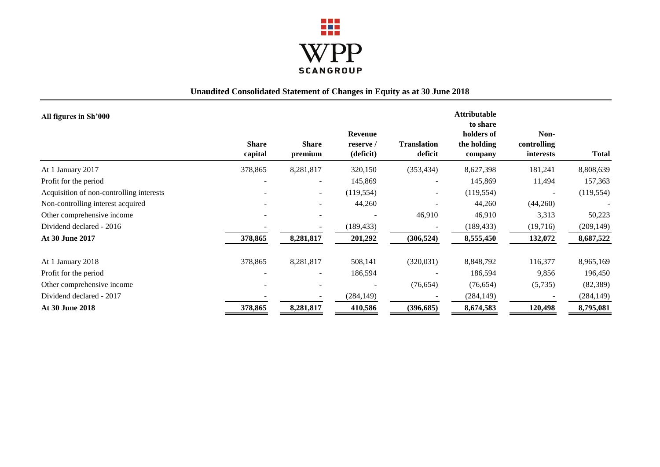

## **Unaudited Consolidated Statement of Changes in Equity as at 30 June 2018**

| All figures in Sh'000                    |                              |                          |                                          |                               | <b>Attributable</b><br>to share      |                                  |            |
|------------------------------------------|------------------------------|--------------------------|------------------------------------------|-------------------------------|--------------------------------------|----------------------------------|------------|
|                                          | <b>Share</b><br>capital      | <b>Share</b><br>premium  | <b>Revenue</b><br>reserve /<br>(deficit) | <b>Translation</b><br>deficit | holders of<br>the holding<br>company | Non-<br>controlling<br>interests | Total      |
| At 1 January 2017                        | 378,865                      | 8,281,817                | 320,150                                  | (353, 434)                    | 8,627,398                            | 181,241                          | 8,808,639  |
| Profit for the period                    | ۰                            | $\overline{\phantom{a}}$ | 145,869                                  |                               | 145,869                              | 11,494                           | 157,363    |
| Acquisition of non-controlling interests |                              | $\overline{\phantom{a}}$ | (119, 554)                               | $\overline{\phantom{a}}$      | (119, 554)                           |                                  | (119, 554) |
| Non-controlling interest acquired        |                              |                          | 44,260                                   |                               | 44,260                               | (44,260)                         |            |
| Other comprehensive income               |                              |                          |                                          | 46,910                        | 46,910                               | 3,313                            | 50,223     |
| Dividend declared - 2016                 |                              |                          | (189, 433)                               |                               | (189, 433)                           | (19,716)                         | (209, 149) |
| <b>At 30 June 2017</b>                   | 378,865                      | 8,281,817                | 201,292                                  | (306, 524)                    | 8,555,450                            | 132,072                          | 8,687,522  |
| At 1 January 2018                        | 378,865                      | 8,281,817                | 508,141                                  | (320,031)                     | 8,848,792                            | 116,377                          | 8,965,169  |
| Profit for the period                    | $\qquad \qquad \blacksquare$ | $\overline{\phantom{a}}$ | 186,594                                  |                               | 186,594                              | 9,856                            | 196,450    |
| Other comprehensive income               |                              |                          |                                          | (76, 654)                     | (76, 654)                            | (5,735)                          | (82, 389)  |
| Dividend declared - 2017                 |                              |                          | (284, 149)                               |                               | (284, 149)                           |                                  | (284, 149) |
| <b>At 30 June 2018</b>                   | 378,865                      | 8,281,817                | 410,586                                  | (396, 685)                    | 8,674,583                            | 120,498                          | 8,795,081  |